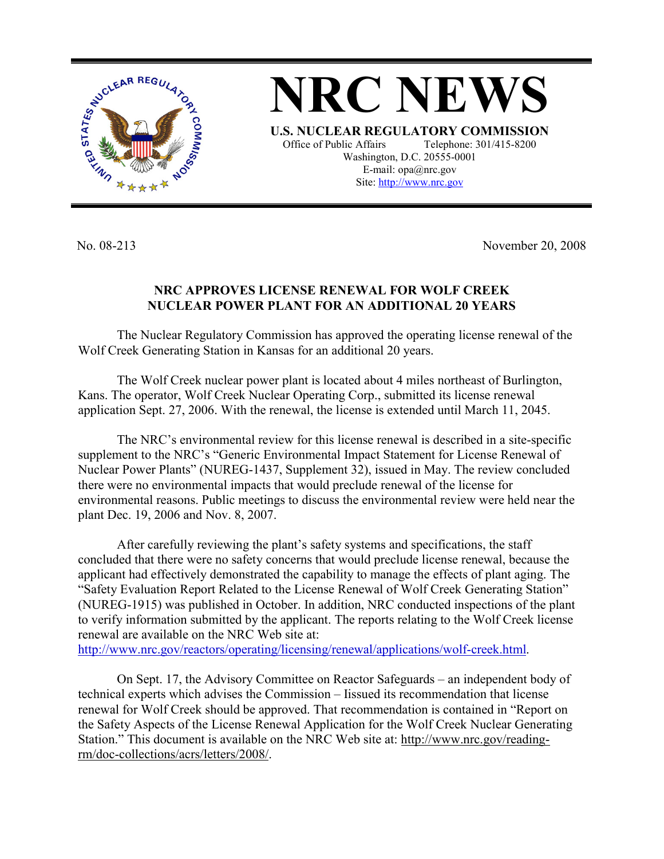

**NRC NEWS U.S. NUCLEAR REGULATORY COMMISSION** Office of Public Affairs Telephone: 301/415-8200 Washington, D.C. 20555-0001 E-mail: opa@nrc.gov Site: http://www.nrc.gov

No. 08-213 November 20, 2008

## **NRC APPROVES LICENSE RENEWAL FOR WOLF CREEK NUCLEAR POWER PLANT FOR AN ADDITIONAL 20 YEARS**

 The Nuclear Regulatory Commission has approved the operating license renewal of the Wolf Creek Generating Station in Kansas for an additional 20 years.

 The Wolf Creek nuclear power plant is located about 4 miles northeast of Burlington, Kans. The operator, Wolf Creek Nuclear Operating Corp., submitted its license renewal application Sept. 27, 2006. With the renewal, the license is extended until March 11, 2045.

 The NRC's environmental review for this license renewal is described in a site-specific supplement to the NRC's "Generic Environmental Impact Statement for License Renewal of Nuclear Power Plants" (NUREG-1437, Supplement 32), issued in May. The review concluded there were no environmental impacts that would preclude renewal of the license for environmental reasons. Public meetings to discuss the environmental review were held near the plant Dec. 19, 2006 and Nov. 8, 2007.

 After carefully reviewing the plant's safety systems and specifications, the staff concluded that there were no safety concerns that would preclude license renewal, because the applicant had effectively demonstrated the capability to manage the effects of plant aging. The "Safety Evaluation Report Related to the License Renewal of Wolf Creek Generating Station" (NUREG-1915) was published in October. In addition, NRC conducted inspections of the plant to verify information submitted by the applicant. The reports relating to the Wolf Creek license renewal are available on the NRC Web site at: http://www.nrc.gov/reactors/operating/licensing/renewal/applications/wolf-creek.html.

 On Sept. 17, the Advisory Committee on Reactor Safeguards – an independent body of technical experts which advises the Commission – Iissued its recommendation that license renewal for Wolf Creek should be approved. That recommendation is contained in "Report on the Safety Aspects of the License Renewal Application for the Wolf Creek Nuclear Generating Station." This document is available on the NRC Web site at: http://www.nrc.gov/readingrm/doc-collections/acrs/letters/2008/.